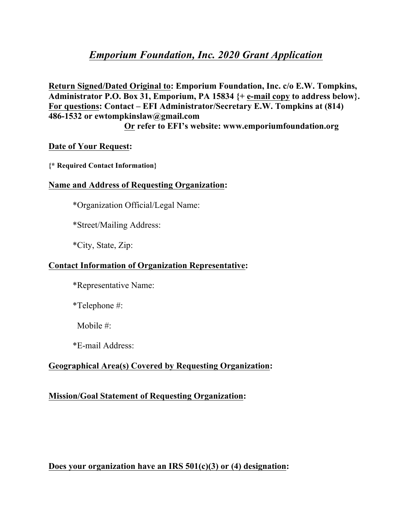# *Emporium Foundation, Inc. 2020 Grant Application*

**Return Signed/Dated Original to: Emporium Foundation, Inc. c/o E.W. Tompkins, Administrator P.O. Box 31, Emporium, PA 15834 {+ e-mail copy to address below}. For questions: Contact – EFI Administrator/Secretary E.W. Tompkins at (814) 486-1532 or ewtompkinslaw@gmail.com**

 **Or refer to EFI's website: www.emporiumfoundation.org**

#### **Date of Your Request:**

**{\* Required Contact Information}**

#### **Name and Address of Requesting Organization:**

\*Organization Official/Legal Name:

\*Street/Mailing Address:

\*City, State, Zip:

#### **Contact Information of Organization Representative:**

\*Representative Name:

\*Telephone #:

Mobile #:

\*E-mail Address:

# **Geographical Area(s) Covered by Requesting Organization:**

### **Mission/Goal Statement of Requesting Organization:**

**Does your organization have an IRS 501(c)(3) or (4) designation:**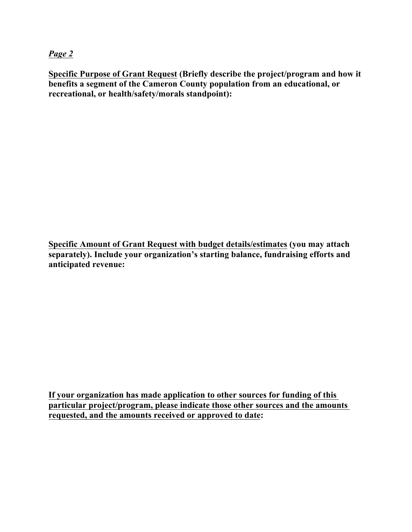*Page 2*

**Specific Purpose of Grant Request (Briefly describe the project/program and how it benefits a segment of the Cameron County population from an educational, or recreational, or health/safety/morals standpoint):**

**Specific Amount of Grant Request with budget details/estimates (you may attach separately). Include your organization's starting balance, fundraising efforts and anticipated revenue:**

**If your organization has made application to other sources for funding of this particular project/program, please indicate those other sources and the amounts requested, and the amounts received or approved to date:**